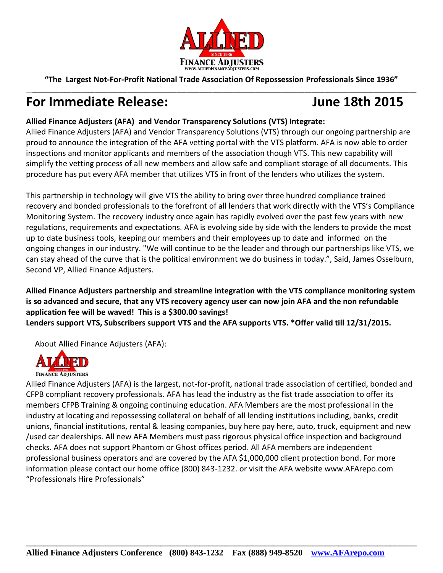

**"The Largest Not-For-Profit National Trade Association Of Repossession Professionals Since 1936"** \_\_**\_\_\_\_\_\_\_\_\_\_\_\_\_\_\_\_\_\_\_\_\_\_\_\_\_\_\_\_\_\_\_\_\_\_\_\_\_\_\_\_\_\_\_\_\_\_\_\_\_\_\_\_\_\_\_\_\_\_\_\_\_\_\_\_\_\_\_\_\_\_\_\_\_\_\_\_\_\_\_\_\_\_\_\_\_\_\_\_\_\_\_\_\_\_\_\_\_\_\_\_\_\_\_\_\_\_\_\_\_\_\_\_\_\_\_\_\_**

# **For Immediate Release: June 18th 2015**

## **Allied Finance Adjusters (AFA) and Vendor Transparency Solutions (VTS) Integrate:**

Allied Finance Adjusters (AFA) and Vendor Transparency Solutions (VTS) through our ongoing partnership are proud to announce the integration of the AFA vetting portal with the VTS platform. AFA is now able to order inspections and monitor applicants and members of the association though VTS. This new capability will simplify the vetting process of all new members and allow safe and compliant storage of all documents. This procedure has put every AFA member that utilizes VTS in front of the lenders who utilizes the system.

This partnership in technology will give VTS the ability to bring over three hundred compliance trained recovery and bonded professionals to the forefront of all lenders that work directly with the VTS's Compliance Monitoring System. The recovery industry once again has rapidly evolved over the past few years with new regulations, requirements and expectations. AFA is evolving side by side with the lenders to provide the most up to date business tools, keeping our members and their employees up to date and informed on the ongoing changes in our industry. "We will continue to be the leader and through our partnerships like VTS, we can stay ahead of the curve that is the political environment we do business in today.", Said, James Osselburn, Second VP, Allied Finance Adjusters.

### **Allied Finance Adjusters partnership and streamline integration with the VTS compliance monitoring system is so advanced and secure, that any VTS recovery agency user can now join AFA and the non refundable application fee will be waved! This is a \$300.00 savings! Lenders support VTS, Subscribers support VTS and the AFA supports VTS. \*Offer valid till 12/31/2015.**

About Allied Finance Adjusters (AFA):



**FINANCE ADJUSTERS** 

Allied Finance Adjusters (AFA) is the largest, not-for-profit, national trade association of certified, bonded and CFPB compliant recovery professionals. AFA has lead the industry as the fist trade association to offer its members CFPB Training & ongoing continuing education. AFA Members are the most professional in the industry at locating and repossessing collateral on behalf of all lending institutions including, banks, credit unions, financial institutions, rental & leasing companies, buy here pay here, auto, truck, equipment and new /used car dealerships. All new AFA Members must pass rigorous physical office inspection and background checks. AFA does not support Phantom or Ghost offices period. All AFA members are independent professional business operators and are covered by the AFA \$1,000,000 client protection bond. For more information please contact our home office (800) 843-1232. or visit the AFA website www.AFArepo.com "Professionals Hire Professionals"

**\_\_\_\_\_\_\_\_\_\_\_\_\_\_\_\_\_\_\_\_\_\_\_\_\_\_\_\_\_\_\_\_\_\_\_\_\_\_\_\_\_\_\_\_\_\_\_\_\_\_\_\_\_\_\_\_\_\_\_\_\_\_\_\_\_\_\_\_\_\_\_\_\_\_\_\_\_\_\_\_\_\_\_\_\_\_\_\_\_\_**